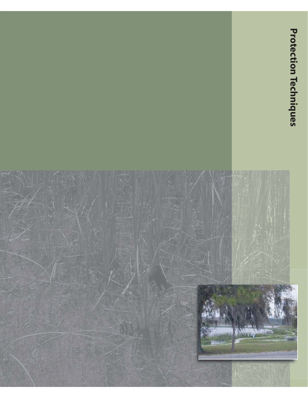## **ProtectionProtection Techniques Techniques**